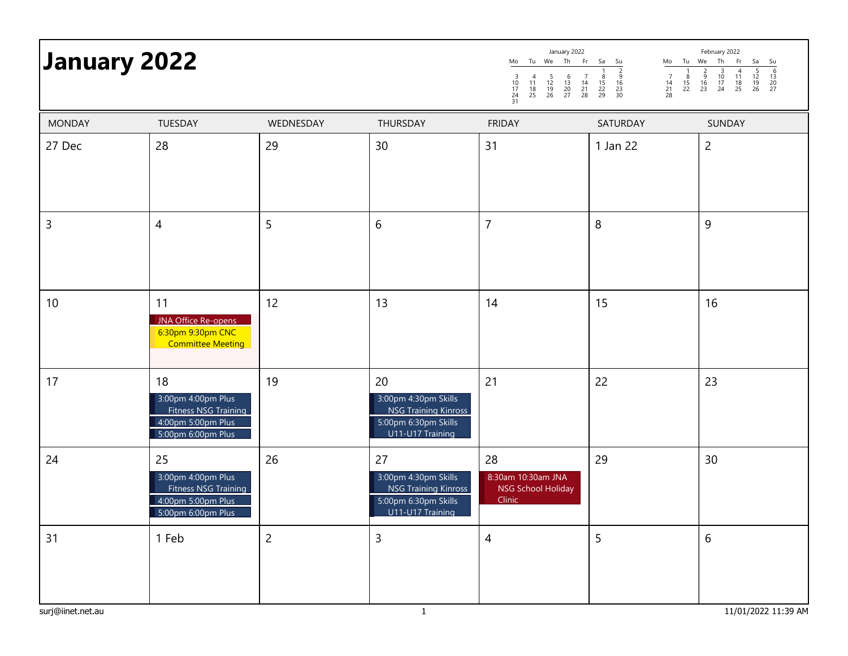| <b>January 2022</b> |                                                                                              |                | January 2022<br>February 2022<br>Tu We Th<br>Fr<br>Th<br>Tu We<br>Fr<br>Sa<br>Su<br>Sa<br>Mo<br>Mo<br>Su<br>$\frac{6}{13}$<br>$\frac{13}{20}$<br>$\frac{20}{27}$<br>$\frac{5}{12}$<br>$\frac{12}{19}$<br>26<br>$\begin{array}{c}\n 2 \\  -2 \\  16 \\  23 \\  30\n \end{array}$<br>$\overline{4}$<br>$\frac{5}{16}$<br>23<br>$\frac{10}{17}$<br>24<br>$\begin{array}{c} 11 \\ 18 \\ 25 \end{array}$<br>$\begin{array}{c} 7 \\ 14 \\ 21 \\ 28 \end{array}$<br>$\frac{8}{15}$<br>22<br>29<br>$\begin{array}{c} 7 \\ 14 \\ 21 \\ 28 \end{array}$<br>$\begin{array}{c} 4 \\ 11 \\ 18 \\ 25 \end{array}$<br>$\frac{5}{12}$<br>$\frac{19}{26}$<br>$\begin{array}{c} 6 \\ 13 \\ 20 \\ 27 \end{array}$<br>$\begin{array}{c} 8 \\ 15 \\ 22 \end{array}$<br>$\frac{3}{10}$<br>$\frac{17}{24}$<br>$\frac{24}{31}$ |                                                          |          |                |  |  |
|---------------------|----------------------------------------------------------------------------------------------|----------------|--------------------------------------------------------------------------------------------------------------------------------------------------------------------------------------------------------------------------------------------------------------------------------------------------------------------------------------------------------------------------------------------------------------------------------------------------------------------------------------------------------------------------------------------------------------------------------------------------------------------------------------------------------------------------------------------------------------------------------------------------------------------------------------------------------|----------------------------------------------------------|----------|----------------|--|--|
| <b>MONDAY</b>       | TUESDAY                                                                                      | WEDNESDAY      | THURSDAY                                                                                                                                                                                                                                                                                                                                                                                                                                                                                                                                                                                                                                                                                                                                                                                               | <b>FRIDAY</b>                                            | SATURDAY | SUNDAY         |  |  |
| 27 Dec              | 28                                                                                           | 29             | 30                                                                                                                                                                                                                                                                                                                                                                                                                                                                                                                                                                                                                                                                                                                                                                                                     | 31                                                       | 1 Jan 22 | $\overline{c}$ |  |  |
| $\overline{3}$      | $\overline{4}$                                                                               | 5              | $6\,$                                                                                                                                                                                                                                                                                                                                                                                                                                                                                                                                                                                                                                                                                                                                                                                                  | $\overline{7}$                                           | $\, 8$   | 9              |  |  |
| 10                  | 11<br>JNA Office Re-opens<br>6:30pm 9:30pm CNC<br><b>Committee Meeting</b>                   | 12             | 13                                                                                                                                                                                                                                                                                                                                                                                                                                                                                                                                                                                                                                                                                                                                                                                                     | 14                                                       | 15       | 16             |  |  |
| 17                  | 18<br>3:00pm 4:00pm Plus<br>Fitness NSG Training<br>4:00pm 5:00pm Plus<br>5:00pm 6:00pm Plus | 19             | 20<br>3:00pm 4:30pm Skills<br>NSG Training Kinross<br>5:00pm 6:30pm Skills<br>U11-U17 Training                                                                                                                                                                                                                                                                                                                                                                                                                                                                                                                                                                                                                                                                                                         | 21                                                       | 22       | 23             |  |  |
| 24                  | 25<br>3:00pm 4:00pm Plus<br>Fitness NSG Training<br>4:00pm 5:00pm Plus<br>5:00pm 6:00pm Plus | 26             | 27<br>3:00pm 4:30pm Skills<br><b>NSG Training Kinross</b><br>5:00pm 6:30pm Skills<br>U11-U17 Training                                                                                                                                                                                                                                                                                                                                                                                                                                                                                                                                                                                                                                                                                                  | 28<br>8:30am 10:30am JNA<br>NSG School Holiday<br>Clinic | 29       | 30             |  |  |
| 31                  | 1 Feb                                                                                        | $\overline{c}$ | $\overline{3}$                                                                                                                                                                                                                                                                                                                                                                                                                                                                                                                                                                                                                                                                                                                                                                                         | $\overline{4}$                                           | 5        | 6              |  |  |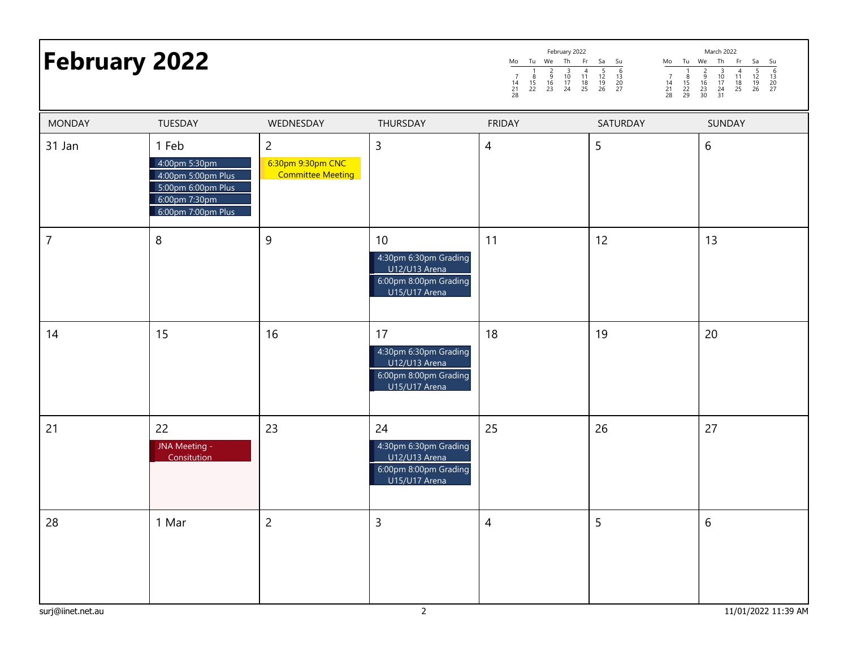|                      | February 2022 |       |           |  |          |    |                |           | March 2022 |    |  |          |             |             |                   |            |
|----------------------|---------------|-------|-----------|--|----------|----|----------------|-----------|------------|----|--|----------|-------------|-------------|-------------------|------------|
| <b>February 2022</b> | Mo            | - Iu  | <b>We</b> |  | Th       |    | Fr Sa Su       |           |            | Mo |  | Tu We    | Th Fr Sa Su |             |                   |            |
|                      | 28            | 21 22 | 23        |  | 10<br>24 | 18 | 19<br>25 26 27 | -13<br>20 |            | 14 |  | 29 30 31 | $10^{-1}$   | $-11$<br>18 | 12<br>19<br>26 27 | 13<br>- 20 |

| <b>MONDAY</b>     | TUESDAY                                                                                                   | WEDNESDAY                                                       | THURSDAY                                                                                            | <b>FRIDAY</b>  | SATURDAY | SUNDAY              |
|-------------------|-----------------------------------------------------------------------------------------------------------|-----------------------------------------------------------------|-----------------------------------------------------------------------------------------------------|----------------|----------|---------------------|
| 31 Jan            | 1 Feb<br>4:00pm 5:30pm<br>4:00pm 5:00pm Plus<br>5:00pm 6:00pm Plus<br>6:00pm 7:30pm<br>6:00pm 7:00pm Plus | $\overline{c}$<br>6:30pm 9:30pm CNC<br><b>Committee Meeting</b> | $\overline{3}$                                                                                      | $\overline{4}$ | 5        | 6                   |
| $\overline{7}$    | $\boldsymbol{8}$                                                                                          | $\overline{9}$                                                  | 10 <sup>°</sup><br>4:30pm 6:30pm Grading<br>U12/U13 Arena<br>6:00pm 8:00pm Grading<br>U15/U17 Arena | 11             | 12       | 13                  |
| 14                | 15                                                                                                        | 16                                                              | 17<br>4:30pm 6:30pm Grading<br>U12/U13 Arena<br>6:00pm 8:00pm Grading<br>U15/U17 Arena              | 18             | 19       | 20                  |
| 21                | 22<br>JNA Meeting -<br>Consitution                                                                        | 23                                                              | 24<br>4:30pm 6:30pm Grading<br>U12/U13 Arena<br>6:00pm 8:00pm Grading<br>U15/U17 Arena              | 25             | 26       | 27                  |
| 28                | 1 Mar                                                                                                     | $\overline{c}$                                                  | $\overline{3}$                                                                                      | $\overline{4}$ | 5        | 6                   |
| surj@iinet.net.au |                                                                                                           |                                                                 | $\overline{2}$                                                                                      |                |          | 11/01/2022 11:39 AM |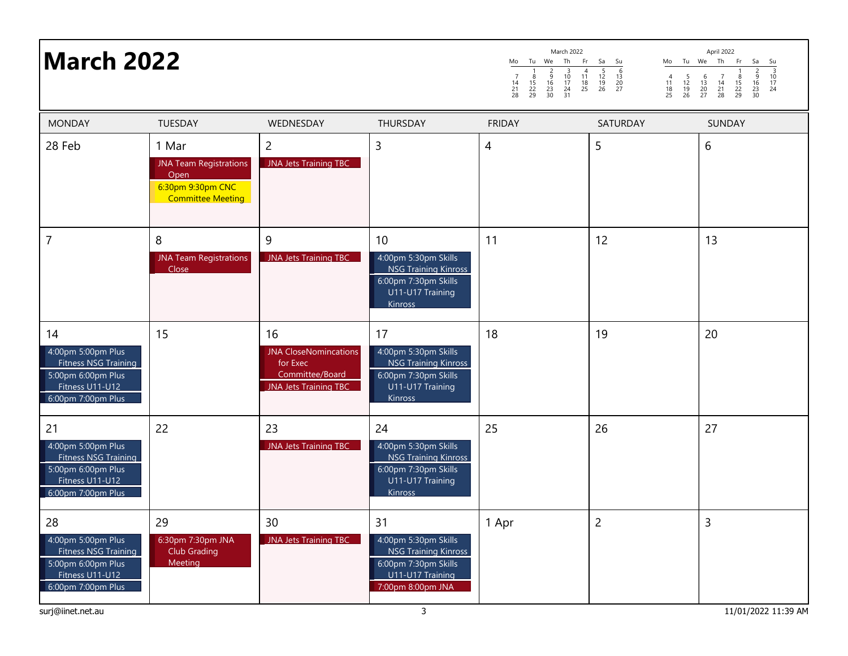# **March 2022**

|                     |                     |                          | March 2022                |                     |                     |                     |                     |                     |                     | April 2022     |                     |                          |                     |
|---------------------|---------------------|--------------------------|---------------------------|---------------------|---------------------|---------------------|---------------------|---------------------|---------------------|----------------|---------------------|--------------------------|---------------------|
| Mo                  | Tu                  | We                       | Th                        | Fr                  | Sa                  | Su                  | Mo                  | Tu                  | We                  | Th             | Fr                  | Sa                       | Su                  |
| 7<br>14<br>21<br>28 | 8<br>15<br>22<br>29 | 2<br>9<br>16<br>23<br>30 | 3<br>10<br>17<br>24<br>31 | 4<br>11<br>18<br>25 | 5<br>12<br>19<br>26 | 6<br>13<br>20<br>27 | 4<br>11<br>18<br>25 | 5<br>12<br>19<br>26 | 6<br>13<br>20<br>27 | 14<br>21<br>28 | 8<br>15<br>22<br>29 | 2<br>9<br>16<br>23<br>30 | 3<br>10<br>17<br>24 |
| <b>FRIDAY</b>       |                     |                          |                           |                     |                     | <b>SATURDAY</b>     |                     |                     |                     | <b>SUNDAY</b>  |                     |                          |                     |
|                     |                     |                          |                           |                     |                     |                     |                     |                     | 6                   |                |                     |                          |                     |

| <b>MONDAY</b>                                                                                                   | <b>TUESDAY</b>                                                                                  | WEDNESDAY                                                                                         | THURSDAY                                                                                                                   | <b>FRIDAY</b> | SATURDAY       | <b>SUNDAY</b>       |
|-----------------------------------------------------------------------------------------------------------------|-------------------------------------------------------------------------------------------------|---------------------------------------------------------------------------------------------------|----------------------------------------------------------------------------------------------------------------------------|---------------|----------------|---------------------|
| 28 Feb                                                                                                          | 1 Mar<br><b>JNA Team Registrations</b><br>Open<br>6:30pm 9:30pm CNC<br><b>Committee Meeting</b> | $\overline{c}$<br>JNA Jets Training TBC                                                           | 3                                                                                                                          | 4             | 5              | 6                   |
| 7                                                                                                               | 8<br><b>JNA Team Registrations</b><br>Close                                                     | 9<br><b>JNA Jets Training TBC</b>                                                                 | 10<br>4:00pm 5:30pm Skills<br><b>NSG Training Kinross</b><br>6:00pm 7:30pm Skills<br>U11-U17 Training<br><b>Kinross</b>    | 11            | 12             | 13                  |
| 14<br>4:00pm 5:00pm Plus<br>Fitness NSG Training<br>5:00pm 6:00pm Plus<br>Fitness U11-U12<br>6:00pm 7:00pm Plus | 15                                                                                              | 16<br><b>JNA CloseNomincations</b><br>for Exec<br>Committee/Board<br><b>JNA Jets Training TBC</b> | 17<br>4:00pm 5:30pm Skills<br><b>NSG Training Kinross</b><br>6:00pm 7:30pm Skills<br>U11-U17 Training<br>Kinross           | 18            | 19             | 20                  |
| 21<br>4:00pm 5:00pm Plus<br>Fitness NSG Training<br>5:00pm 6:00pm Plus<br>Fitness U11-U12<br>6:00pm 7:00pm Plus | 22                                                                                              | 23<br>JNA Jets Training TBC                                                                       | 24<br>4:00pm 5:30pm Skills<br><b>NSG Training Kinross</b><br>6:00pm 7:30pm Skills<br>U11-U17 Training<br><b>Kinross</b>    | 25            | 26             | 27                  |
| 28<br>4:00pm 5:00pm Plus<br>Fitness NSG Training<br>5:00pm 6:00pm Plus<br>Fitness U11-U12<br>6:00pm 7:00pm Plus | 29<br>6:30pm 7:30pm JNA<br>Club Grading<br>Meeting                                              | 30<br>JNA Jets Training TBC                                                                       | 31<br>4:00pm 5:30pm Skills<br><b>NSG Training Kinross</b><br>6:00pm 7:30pm Skills<br>U11-U17 Training<br>7:00pm 8:00pm JNA | 1 Apr         | $\overline{c}$ | $\overline{3}$      |
| surj@iinet.net.au                                                                                               |                                                                                                 |                                                                                                   | 3                                                                                                                          |               |                | 11/01/2022 11:39 AM |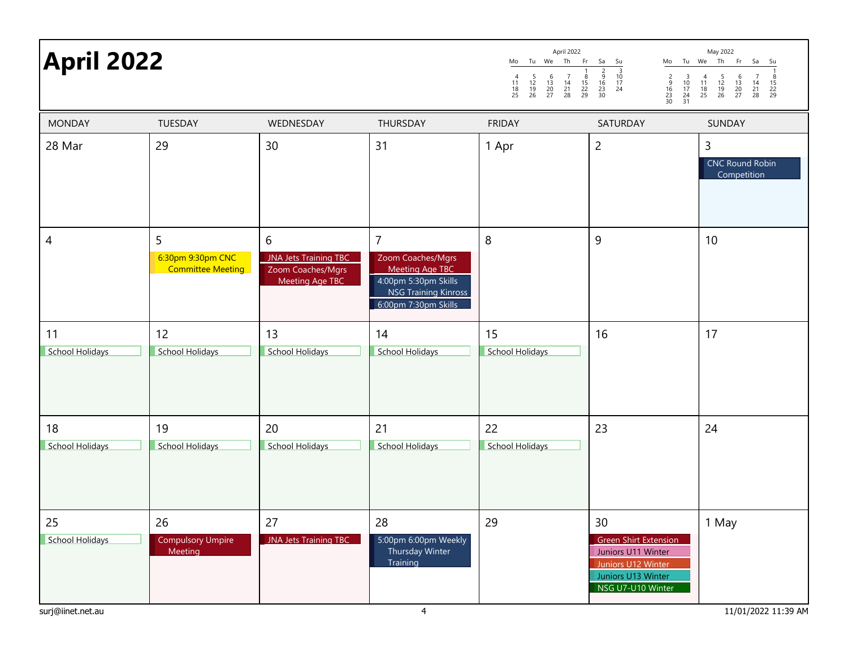| <b>April 2022</b>     |                                             |                                                                           | April 2022<br>May 2022<br>Mo Tu We Th Fr Sa<br>Mo Tu We Th<br>Fr<br>Sa<br>Su<br>Su<br>$\frac{3}{10}$<br>$\frac{17}{24}$<br>$\frac{2}{9}$<br>$\frac{9}{16}$<br>$\frac{23}{30}$<br>$\begin{array}{c}\n 2 \\  9 \\  16 \\  23 \\  30\n\end{array}$<br>$\begin{array}{c} 4 \\ 11 \\ 18 \\ 25 \end{array}$<br>$\frac{5}{12}$<br>$\frac{19}{26}$<br>$\frac{8}{15}$<br>22<br>29<br>$\frac{5}{12}$<br>$\frac{19}{26}$<br>$\begin{array}{c} 6 \\ 13 \\ 20 \\ 27 \end{array}$<br>$\begin{array}{c} 7 \\ 14 \\ 21 \\ 28 \end{array}$<br>$\begin{array}{c} 3 \\ 10 \\ 17 \\ 24 \\ 31 \end{array}$<br>$\begin{array}{c} 6 \\ 13 \\ 20 \\ 27 \end{array}$<br>$\begin{array}{c} 7 \\ 14 \\ 21 \\ 28 \end{array}$<br>$\begin{array}{c} 4 \\ 11 \\ 18 \\ 25 \end{array}$<br>$\begin{array}{c} 8 \\ 15 \\ 22 \\ 29 \end{array}$ |                       |                                                                                                                           |                                            |  |  |
|-----------------------|---------------------------------------------|---------------------------------------------------------------------------|---------------------------------------------------------------------------------------------------------------------------------------------------------------------------------------------------------------------------------------------------------------------------------------------------------------------------------------------------------------------------------------------------------------------------------------------------------------------------------------------------------------------------------------------------------------------------------------------------------------------------------------------------------------------------------------------------------------------------------------------------------------------------------------------------------------|-----------------------|---------------------------------------------------------------------------------------------------------------------------|--------------------------------------------|--|--|
| <b>MONDAY</b>         | TUESDAY                                     | WEDNESDAY                                                                 | THURSDAY                                                                                                                                                                                                                                                                                                                                                                                                                                                                                                                                                                                                                                                                                                                                                                                                      | <b>FRIDAY</b>         | SATURDAY                                                                                                                  | SUNDAY                                     |  |  |
| 28 Mar                | 29                                          | 30                                                                        | 31                                                                                                                                                                                                                                                                                                                                                                                                                                                                                                                                                                                                                                                                                                                                                                                                            | 1 Apr                 | $\overline{c}$                                                                                                            | 3<br><b>CNC Round Robin</b><br>Competition |  |  |
| 4                     | 5<br>6:30pm 9:30pm CNC<br>Committee Meeting | 6<br><b>JNA Jets Training TBC</b><br>Zoom Coaches/Mgrs<br>Meeting Age TBC | $\overline{7}$<br>Zoom Coaches/Mgrs<br><b>Meeting Age TBC</b><br>4:00pm 5:30pm Skills<br><b>NSG Training Kinross</b><br>6:00pm 7:30pm Skills                                                                                                                                                                                                                                                                                                                                                                                                                                                                                                                                                                                                                                                                  | 8                     | 9                                                                                                                         | 10                                         |  |  |
| 11<br>School Holidays | 12<br><b>School Holidays</b>                | 13<br>School Holidays                                                     | 14<br><b>School Holidays</b>                                                                                                                                                                                                                                                                                                                                                                                                                                                                                                                                                                                                                                                                                                                                                                                  | 15<br>School Holidays | 16                                                                                                                        | 17                                         |  |  |
| 18<br>School Holidays | 19<br><b>School Holidays</b>                | 20<br>School Holidays                                                     | 21<br><b>School Holidays</b>                                                                                                                                                                                                                                                                                                                                                                                                                                                                                                                                                                                                                                                                                                                                                                                  | 22<br>School Holidays | 23                                                                                                                        | 24                                         |  |  |
| 25<br>School Holidays | 26<br><b>Compulsory Umpire</b><br>Meeting   | 27<br>JNA Jets Training TBC                                               | 28<br>5:00pm 6:00pm Weekly<br>Thursday Winter<br>Training                                                                                                                                                                                                                                                                                                                                                                                                                                                                                                                                                                                                                                                                                                                                                     | 29                    | 30<br><b>Green Shirt Extension</b><br>Juniors U11 Winter<br>Juniors U12 Winter<br>Juniors U13 Winter<br>NSG U7-U10 Winter | 1 May                                      |  |  |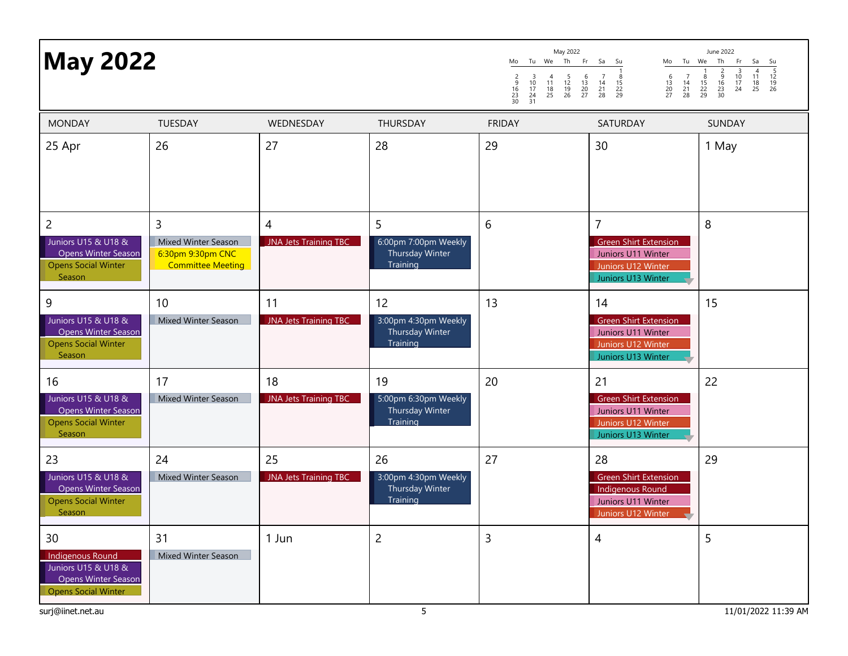| <b>May 2022</b>                                                                                             |                                                                           |                                    | May 2022<br>June 2022<br>Tu We Th<br>Fr.<br>Th<br>Sa<br>Tu We<br>Fr<br>Mo<br>Su<br>Mo<br>Sa<br>Su<br>$\frac{5}{12}$<br>$\frac{12}{19}$<br>26<br>$\begin{array}{c}\n4 \\ 11 \\ 18 \\ 25\n\end{array}$<br>$\frac{6}{16}$<br>$\frac{23}{30}$<br>$\frac{10}{17}$<br>24<br>$\begin{array}{c} 6 \\ 13 \\ 20 \\ 27 \end{array}$<br>$\frac{5}{12}$<br>$\frac{19}{26}$<br>$\begin{array}{c} 6 \\ 13 \\ 20 \\ 27 \end{array}$<br>$\begin{array}{c} 7 \\ 14 \\ 21 \\ 28 \end{array}$<br>$\frac{8}{15}$<br>$\frac{22}{29}$<br>$\begin{array}{c} 7 \\ 14 \\ 21 \\ 28 \end{array}$<br>$\frac{3}{10}$<br>$\frac{17}{24}$<br>$\frac{24}{31}$<br>$11^{4}$<br>$\begin{array}{c} 8 \\ 15 \\ 22 \\ 29 \end{array}$<br>$\frac{2}{9}$<br>$\frac{16}{23}$<br>$\frac{23}{30}$<br>$\frac{18}{25}$ |               |                                                                                                                  |               |  |
|-------------------------------------------------------------------------------------------------------------|---------------------------------------------------------------------------|------------------------------------|--------------------------------------------------------------------------------------------------------------------------------------------------------------------------------------------------------------------------------------------------------------------------------------------------------------------------------------------------------------------------------------------------------------------------------------------------------------------------------------------------------------------------------------------------------------------------------------------------------------------------------------------------------------------------------------------------------------------------------------------------------------------------|---------------|------------------------------------------------------------------------------------------------------------------|---------------|--|
| <b>MONDAY</b>                                                                                               | TUESDAY                                                                   | WEDNESDAY                          | THURSDAY                                                                                                                                                                                                                                                                                                                                                                                                                                                                                                                                                                                                                                                                                                                                                                 | <b>FRIDAY</b> | SATURDAY                                                                                                         | <b>SUNDAY</b> |  |
| 25 Apr                                                                                                      | 26                                                                        | 27                                 | 28                                                                                                                                                                                                                                                                                                                                                                                                                                                                                                                                                                                                                                                                                                                                                                       | 29            | 30                                                                                                               | 1 May         |  |
| $\overline{2}$<br>Juniors U15 & U18 &<br><b>Opens Winter Season</b><br><b>Opens Social Winter</b><br>Season | 3<br>Mixed Winter Season<br>6:30pm 9:30pm CNC<br><b>Committee Meeting</b> | 4<br><b>JNA Jets Training TBC</b>  | 5<br>6:00pm 7:00pm Weekly<br>Thursday Winter<br>Training                                                                                                                                                                                                                                                                                                                                                                                                                                                                                                                                                                                                                                                                                                                 | 6             | $\overline{7}$<br><b>Green Shirt Extension</b><br>Juniors U11 Winter<br>Juniors U12 Winter<br>Juniors U13 Winter | 8             |  |
| 9<br>Juniors U15 & U18 &<br><b>Opens Winter Season</b><br><b>Opens Social Winter</b><br>Season              | 10<br>Mixed Winter Season                                                 | 11<br><b>JNA Jets Training TBC</b> | 12<br>3:00pm 4:30pm Weekly<br>Thursday Winter<br>Training                                                                                                                                                                                                                                                                                                                                                                                                                                                                                                                                                                                                                                                                                                                | 13            | 14<br><b>Green Shirt Extension</b><br>Juniors U11 Winter<br>Juniors U12 Winter<br>Juniors U13 Winter             | 15            |  |
| 16<br>Juniors U15 & U18 &<br><b>Opens Winter Season</b><br><b>Opens Social Winter</b><br>Season             | 17<br><b>Mixed Winter Season</b>                                          | 18<br><b>JNA Jets Training TBC</b> | 19<br>5:00pm 6:30pm Weekly<br>Thursday Winter<br>Training                                                                                                                                                                                                                                                                                                                                                                                                                                                                                                                                                                                                                                                                                                                | 20            | 21<br><b>Green Shirt Extension</b><br>Juniors U11 Winter<br>Juniors U12 Winter<br>Juniors U13 Winter             | 22            |  |
| 23<br>Juniors U15 & U18 &<br>Opens Winter Season<br><b>Opens Social Winter</b><br>Season                    | 24<br><b>Mixed Winter Season</b>                                          | 25<br><b>JNA Jets Training TBC</b> | 26<br>3:00pm 4:30pm Weekly<br>Thursday Winter<br>Training                                                                                                                                                                                                                                                                                                                                                                                                                                                                                                                                                                                                                                                                                                                | 27            | 28<br><b>Green Shirt Extension</b><br>Indigenous Round<br>Juniors U11 Winter<br>Juniors U12 Winter               | 29            |  |
| 30<br>Indigenous Round<br>Juniors U15 & U18 &<br><b>Opens Winter Season</b><br><b>Opens Social Winter</b>   | 31<br>Mixed Winter Season                                                 | 1 Jun                              | $\overline{2}$                                                                                                                                                                                                                                                                                                                                                                                                                                                                                                                                                                                                                                                                                                                                                           | 3             | 4                                                                                                                | 5             |  |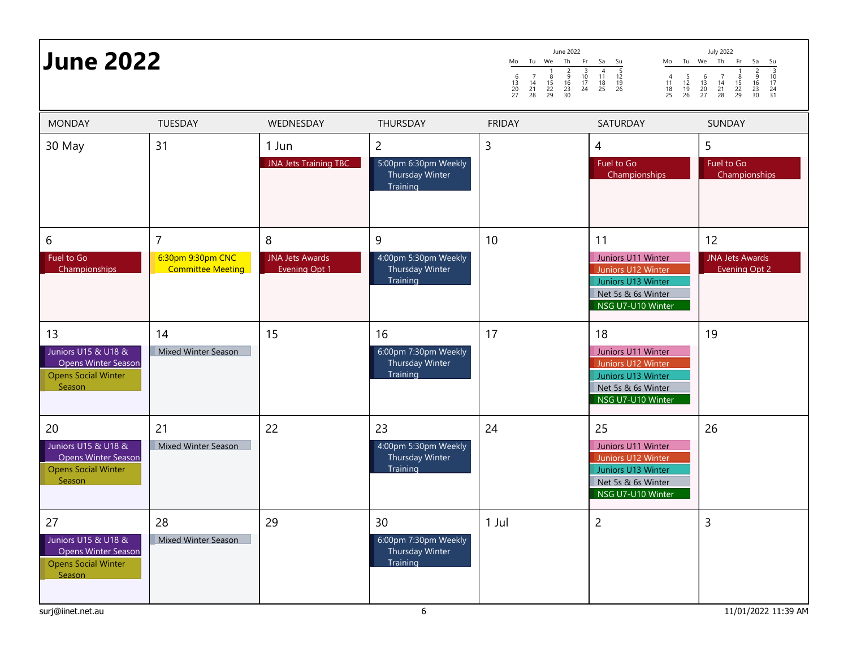| <b>June 2022</b>                                                                                |                                                                 |                                                     | June 2022<br>Th<br>Mo<br>Tu We<br>Fr<br>$\frac{2}{9}$<br>$\frac{16}{23}$<br>$\frac{23}{30}$<br>$\frac{3}{10}$<br>$\frac{17}{24}$<br>$\begin{array}{c} 6 \\ 13 \\ 20 \\ 27 \end{array}$<br>$\begin{array}{c} 7 \\ 14 \\ 21 \\ 28 \end{array}$<br>$\frac{8}{15}$<br>22<br>29 | Sa<br>Su<br>Mo<br>$\frac{5}{12}$<br>$\frac{12}{19}$<br>26<br>$\begin{array}{c}\n4 \\ 11 \\ 18 \\ 25\n\end{array}$<br>$\begin{array}{c} 4 \\ 11 \\ 18 \\ 25 \end{array}$<br>$\frac{5}{12}$<br>$\frac{19}{26}$ | <b>July 2022</b><br>Tu We Th<br>Fr<br>Sa<br>Su<br>$\frac{2}{9}$<br>$\frac{9}{16}$<br>$\frac{23}{30}$<br>$\begin{array}{c} 3 \\ 10 \\ 17 \end{array}$<br>$\begin{array}{c} 6 \\ 13 \\ 20 \\ 27 \end{array}$<br>$\begin{array}{c} 7 \\ 14 \\ 21 \\ 28 \end{array}$<br>$\frac{8}{15}$<br>$\frac{22}{29}$<br>$\frac{24}{31}$ |                                                      |
|-------------------------------------------------------------------------------------------------|-----------------------------------------------------------------|-----------------------------------------------------|----------------------------------------------------------------------------------------------------------------------------------------------------------------------------------------------------------------------------------------------------------------------------|--------------------------------------------------------------------------------------------------------------------------------------------------------------------------------------------------------------|--------------------------------------------------------------------------------------------------------------------------------------------------------------------------------------------------------------------------------------------------------------------------------------------------------------------------|------------------------------------------------------|
| <b>MONDAY</b>                                                                                   | <b>TUESDAY</b>                                                  | WEDNESDAY                                           | <b>THURSDAY</b>                                                                                                                                                                                                                                                            | <b>FRIDAY</b>                                                                                                                                                                                                | SATURDAY                                                                                                                                                                                                                                                                                                                 | <b>SUNDAY</b>                                        |
| 30 May                                                                                          | 31                                                              | 1 Jun<br>JNA Jets Training TBC                      | $\overline{2}$<br>5:00pm 6:30pm Weekly<br>Thursday Winter<br>Training                                                                                                                                                                                                      | 3                                                                                                                                                                                                            | $\overline{4}$<br>Fuel to Go<br>Championships                                                                                                                                                                                                                                                                            | 5<br>Fuel to Go<br>Championships                     |
| 6<br>Fuel to Go<br>Championships                                                                | $\overline{7}$<br>6:30pm 9:30pm CNC<br><b>Committee Meeting</b> | 8<br><b>JNA Jets Awards</b><br><b>Evening Opt 1</b> | 9<br>4:00pm 5:30pm Weekly<br>Thursday Winter<br>Training                                                                                                                                                                                                                   | 10                                                                                                                                                                                                           | 11<br>Juniors U11 Winter<br>Juniors U12 Winter<br>Juniors U13 Winter<br>Net 5s & 6s Winter<br>NSG U7-U10 Winter                                                                                                                                                                                                          | 12<br><b>JNA Jets Awards</b><br><b>Evening Opt 2</b> |
| 13<br>Juniors U15 & U18 &<br><b>Opens Winter Season</b><br><b>Opens Social Winter</b><br>Season | 14<br>Mixed Winter Season                                       | 15                                                  | 16<br>6:00pm 7:30pm Weekly<br>Thursday Winter<br>Training                                                                                                                                                                                                                  | 17                                                                                                                                                                                                           | 18<br>Juniors U11 Winter<br>Juniors U12 Winter<br>Juniors U13 Winter<br>Net 5s & 6s Winter<br>NSG U7-U10 Winter                                                                                                                                                                                                          | 19                                                   |
| 20<br>Juniors U15 & U18 &<br>Opens Winter Season<br><b>Opens Social Winter</b><br>Season        | 21<br><b>Mixed Winter Season</b>                                | 22                                                  | 23<br>4:00pm 5:30pm Weekly<br>Thursday Winter<br>Training                                                                                                                                                                                                                  | 24                                                                                                                                                                                                           | 25<br>Juniors U11 Winter<br>Juniors U12 Winter<br>Juniors U13 Winter<br>Net 5s & 6s Winter<br>NSG U7-U10 Winter                                                                                                                                                                                                          | 26                                                   |
| 27<br>Juniors U15 & U18 &<br>Opens Winter Season<br><b>Opens Social Winter</b><br>Season        | 28<br><b>Mixed Winter Season</b>                                | 29                                                  | 30<br>6:00pm 7:30pm Weekly<br>Thursday Winter<br>Training                                                                                                                                                                                                                  | 1 Jul                                                                                                                                                                                                        | $\overline{c}$                                                                                                                                                                                                                                                                                                           | 3                                                    |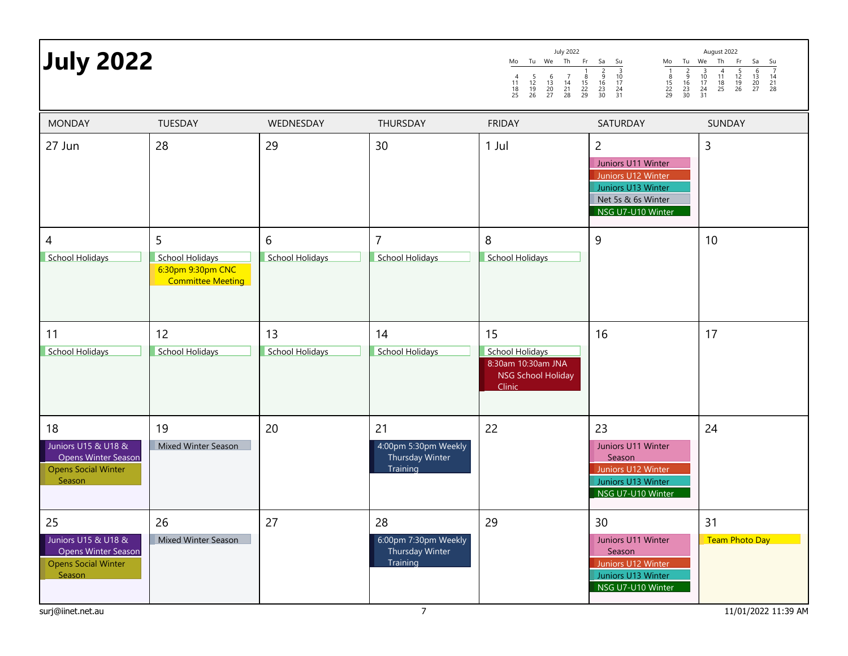| <b>July 2022</b>                                                                                |                                                                       |                              |                                                           | <b>July 2022</b><br>Th<br>Tu We<br>Fr<br>Mo<br>$\begin{array}{c} 6 \\ 13 \\ 20 \\ 27 \end{array}$<br>$\begin{array}{c} 7 \\ 14 \\ 21 \\ 28 \end{array}$<br>$\begin{array}{c} 4 \\ 11 \\ 18 \\ 25 \end{array}$<br>$\frac{5}{12}$<br>$\frac{19}{26}$<br>$\frac{8}{15}$<br>$\frac{22}{29}$ | Sa<br>Su<br>Mo<br>Tu<br>$\begin{array}{c}\n\overline{3} \\ 10 \\ 17\n\end{array}$<br>$\begin{array}{c} 1 \\ 8 \\ 15 \\ 22 \\ 29 \end{array}$<br>$\frac{2}{9}$<br>$\frac{16}{23}$<br>$\frac{23}{30}$<br>$\frac{2}{9}$<br>$\frac{16}{23}$<br>$\frac{23}{30}$<br>$\frac{24}{31}$ | August 2022<br>Th<br>We<br>- Fr<br>Sa<br>Su<br>$\frac{7}{14}$<br>$\frac{14}{21}$<br>28<br>$\frac{4}{11}$<br>$\frac{13}{25}$<br>$\begin{array}{c} 6 \\ 13 \\ 20 \\ 27 \end{array}$<br>$\frac{3}{10}$<br>$\frac{17}{24}$<br>$\frac{24}{31}$<br>$\frac{5}{12}$<br>$\frac{12}{19}$<br>26 |
|-------------------------------------------------------------------------------------------------|-----------------------------------------------------------------------|------------------------------|-----------------------------------------------------------|-----------------------------------------------------------------------------------------------------------------------------------------------------------------------------------------------------------------------------------------------------------------------------------------|-------------------------------------------------------------------------------------------------------------------------------------------------------------------------------------------------------------------------------------------------------------------------------|--------------------------------------------------------------------------------------------------------------------------------------------------------------------------------------------------------------------------------------------------------------------------------------|
| <b>MONDAY</b>                                                                                   | <b>TUESDAY</b>                                                        | WEDNESDAY                    | THURSDAY                                                  | <b>FRIDAY</b>                                                                                                                                                                                                                                                                           | SATURDAY                                                                                                                                                                                                                                                                      | <b>SUNDAY</b>                                                                                                                                                                                                                                                                        |
| 27 Jun                                                                                          | 28                                                                    | 29                           | 30                                                        | $1$ Jul                                                                                                                                                                                                                                                                                 | $\overline{2}$<br>Juniors U11 Winter<br>Juniors U12 Winter<br>Juniors U13 Winter<br>Net 5s & 6s Winter<br>NSG U7-U10 Winter                                                                                                                                                   | $\overline{3}$                                                                                                                                                                                                                                                                       |
| 4<br>School Holidays                                                                            | 5<br>School Holidays<br>6:30pm 9:30pm CNC<br><b>Committee Meeting</b> | 6<br>School Holidays         | 7<br>School Holidays                                      | 8<br>School Holidays                                                                                                                                                                                                                                                                    | 9                                                                                                                                                                                                                                                                             | 10                                                                                                                                                                                                                                                                                   |
| 11<br>School Holidays                                                                           | 12<br>School Holidays                                                 | 13<br><b>School Holidays</b> | 14<br><b>School Holidays</b>                              | 15<br><b>School Holidays</b><br>8:30am 10:30am JNA<br><b>NSG School Holiday</b><br>Clinic                                                                                                                                                                                               | 16                                                                                                                                                                                                                                                                            | 17                                                                                                                                                                                                                                                                                   |
| 18<br>Juniors U15 & U18 &<br>Opens Winter Season<br><b>Opens Social Winter</b><br>Season        | 19<br>Mixed Winter Season                                             | 20                           | 21<br>4:00pm 5:30pm Weekly<br>Thursday Winter<br>Training | 22                                                                                                                                                                                                                                                                                      | 23<br>Juniors U11 Winter<br>Season<br>Juniors U12 Winter<br>Juniors U13 Winter<br>NSG U7-U10 Winter                                                                                                                                                                           | 24                                                                                                                                                                                                                                                                                   |
| 25<br>Juniors U15 & U18 &<br><b>Opens Winter Season</b><br><b>Opens Social Winter</b><br>Season | 26<br>Mixed Winter Season                                             | 27                           | 28<br>6:00pm 7:30pm Weekly<br>Thursday Winter<br>Training | 29                                                                                                                                                                                                                                                                                      | 30<br>Juniors U11 Winter<br>Season<br>Juniors U12 Winter<br>Juniors U13 Winter<br>NSG U7-U10 Winter                                                                                                                                                                           | 31<br>Team Photo Day                                                                                                                                                                                                                                                                 |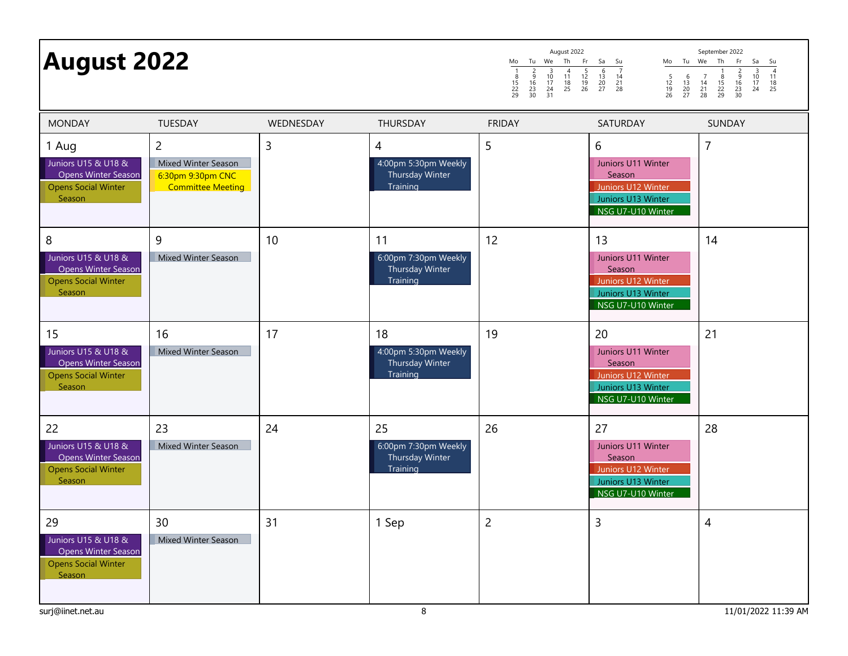| <b>August 2022</b>                                                                                                                                                                           |           |                                                                  | Mo<br>$\begin{array}{c}\n2 \\ 9 \\ 16 \\ 23 \\ 30\n\end{array}$<br>$\begin{array}{c} 8 \\ 15 \\ 22 \\ 29 \end{array}$ | August 2022<br>Tu We Th Fr Sa<br>Su<br>$\frac{5}{12}$<br>$\frac{12}{19}$<br>26<br>$\overline{4}$<br>6<br>$\overline{7}$<br>$\begin{array}{ccc} 10 & 11 \\ 17 & 18 \\ 24 & 25 \\ 31 \end{array}$<br>$\begin{array}{ccc} 13 & 14 \\ 20 & 21 \\ 27 & 28 \end{array}$<br>$\frac{5}{12}$<br>$\frac{19}{26}$ | September 2022<br>Mo Tu We Th<br>Fr<br>Sa<br>Su<br>$\frac{4}{11}$<br>$\frac{13}{25}$<br>$\begin{array}{c}\n3 \\ 10 \\ 17 \\ 24\n\end{array}$<br>$\begin{array}{c}\n2 \\ 9 \\ 16 \\ 23 \\ 30\n\end{array}$<br>$\begin{array}{c} 6 \\ 13 \\ 20 \\ 27 \end{array}$<br>$\begin{array}{c} 7 \\ 14 \\ 21 \\ 28 \end{array}$<br>$\frac{8}{15}$<br>22<br>29 |
|----------------------------------------------------------------------------------------------------------------------------------------------------------------------------------------------|-----------|------------------------------------------------------------------|-----------------------------------------------------------------------------------------------------------------------|--------------------------------------------------------------------------------------------------------------------------------------------------------------------------------------------------------------------------------------------------------------------------------------------------------|-----------------------------------------------------------------------------------------------------------------------------------------------------------------------------------------------------------------------------------------------------------------------------------------------------------------------------------------------------|
| <b>MONDAY</b><br><b>TUESDAY</b>                                                                                                                                                              | WEDNESDAY | THURSDAY                                                         | <b>FRIDAY</b>                                                                                                         | SATURDAY                                                                                                                                                                                                                                                                                               | SUNDAY                                                                                                                                                                                                                                                                                                                                              |
| $\overline{2}$<br>1 Aug<br>Juniors U15 & U18 &<br>Mixed Winter Season<br><b>Opens Winter Season</b><br>6:30pm 9:30pm CNC<br><b>Committee Meeting</b><br><b>Opens Social Winter</b><br>Season | 3         | 4<br>4:00pm 5:30pm Weekly<br>Thursday Winter<br>Training         | 5                                                                                                                     | 6<br>Juniors U11 Winter<br>Season<br>Juniors U12 Winter<br>Juniors U13 Winter<br>NSG U7-U10 Winter                                                                                                                                                                                                     | 7                                                                                                                                                                                                                                                                                                                                                   |
| 9<br>8<br>Juniors U15 & U18 &<br>Mixed Winter Season<br><b>Opens Winter Season</b><br><b>Opens Social Winter</b><br>Season                                                                   | 10        | 11<br>6:00pm 7:30pm Weekly<br><b>Thursday Winter</b><br>Training | 12                                                                                                                    | 13<br>Juniors U11 Winter<br>Season<br>Juniors U12 Winter<br>Juniors U13 Winter<br>NSG U7-U10 Winter                                                                                                                                                                                                    | 14                                                                                                                                                                                                                                                                                                                                                  |
| 15<br>16<br>Juniors U15 & U18 &<br>Mixed Winter Season<br>Opens Winter Season<br><b>Opens Social Winter</b><br>Season                                                                        | 17        | 18<br>4:00pm 5:30pm Weekly<br>Thursday Winter<br>Training        | 19                                                                                                                    | 20<br>Juniors U11 Winter<br>Season<br>Juniors U12 Winter<br>Juniors U13 Winter<br>NSG U7-U10 Winter                                                                                                                                                                                                    | 21                                                                                                                                                                                                                                                                                                                                                  |
| 22<br>23<br>Juniors U15 & U18 &<br>Mixed Winter Season<br><b>Opens Winter Season</b><br><b>Opens Social Winter</b><br>Season                                                                 | 24        | 25<br>6:00pm 7:30pm Weekly<br>Thursday Winter<br>Training        | 26                                                                                                                    | 27<br>Juniors U11 Winter<br>Season<br>Juniors U12 Winter<br>Juniors U13 Winter<br>NSG U7-U10 Winter                                                                                                                                                                                                    | 28                                                                                                                                                                                                                                                                                                                                                  |
| 29<br>30<br>Juniors U15 & U18 &<br>Mixed Winter Season<br><b>Opens Winter Season</b><br><b>Opens Social Winter</b><br>Season<br>surj@iinet.net.au                                            | 31        | 1 Sep<br>8                                                       | $\overline{c}$                                                                                                        | 3                                                                                                                                                                                                                                                                                                      | $\overline{\mathcal{A}}$<br>11/01/2022 11:39 AM                                                                                                                                                                                                                                                                                                     |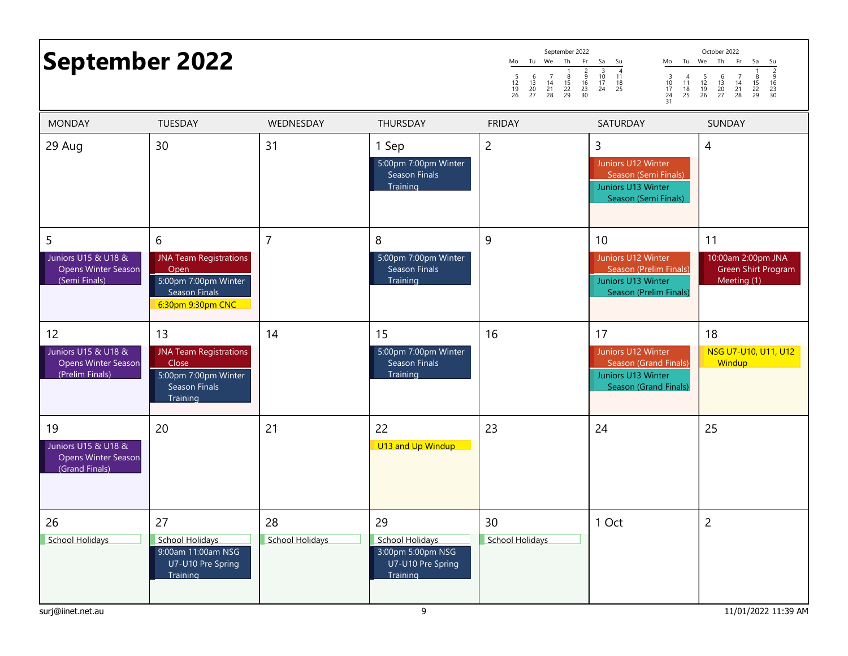| <b>September 2022</b>                                               |                                                                                                          |                       |                                                                                         | September 2022<br>Tu We Th<br>Fr<br>Mo<br>$\begin{array}{c}\n2 \\ 9 \\ 16 \\ 23 \\ 30\n\end{array}$<br>$\begin{array}{c} 6 \\ 13 \\ 20 \\ 27 \end{array}$<br>$\begin{array}{c} 7 \\ 14 \\ 21 \\ 28 \end{array}$<br>$\frac{8}{15}$<br>22<br>29<br>$\frac{5}{12}$<br>$\frac{19}{26}$ | Sa<br>Su<br>Mo<br>$\begin{array}{c} 3 \\ 10 \\ 17 \\ 24 \\ 31 \end{array}$<br>$\begin{array}{c} 4 \\ 11 \\ 18 \\ 25 \end{array}$ | October 2022<br>Tu We Th<br>Fr<br>Sa<br>Su<br>$\frac{2}{9}$<br>$\frac{16}{23}$<br>$\frac{23}{30}$<br>$\frac{8}{15}$<br>22<br>29<br>$\frac{5}{12}$<br>$\frac{19}{26}$<br>$\begin{array}{c} 6 \\ 13 \\ 20 \\ 27 \end{array}$<br>$\begin{array}{c} 7 \\ 14 \\ 21 \\ 28 \end{array}$ |
|---------------------------------------------------------------------|----------------------------------------------------------------------------------------------------------|-----------------------|-----------------------------------------------------------------------------------------|------------------------------------------------------------------------------------------------------------------------------------------------------------------------------------------------------------------------------------------------------------------------------------|----------------------------------------------------------------------------------------------------------------------------------|----------------------------------------------------------------------------------------------------------------------------------------------------------------------------------------------------------------------------------------------------------------------------------|
| <b>MONDAY</b>                                                       | <b>TUESDAY</b>                                                                                           | WEDNESDAY             | THURSDAY                                                                                | <b>FRIDAY</b>                                                                                                                                                                                                                                                                      | SATURDAY                                                                                                                         | SUNDAY                                                                                                                                                                                                                                                                           |
| 29 Aug                                                              | 30                                                                                                       | 31                    | 1 Sep<br>5:00pm 7:00pm Winter<br>Season Finals<br>Training                              | 2                                                                                                                                                                                                                                                                                  | 3<br>Juniors U12 Winter<br>Season (Semi Finals)<br>Juniors U13 Winter<br>Season (Semi Finals)                                    | 4                                                                                                                                                                                                                                                                                |
| 5<br>Juniors U15 & U18 &<br>Opens Winter Season<br>(Semi Finals)    | 6<br><b>JNA Team Registrations</b><br>Open<br>5:00pm 7:00pm Winter<br>Season Finals<br>6:30pm 9:30pm CNC | $\overline{7}$        | 8<br>5:00pm 7:00pm Winter<br>Season Finals<br>Training                                  | 9                                                                                                                                                                                                                                                                                  | 10<br>Juniors U12 Winter<br>Season (Prelim Finals)<br>Juniors U13 Winter<br>Season (Prelim Finals)                               | 11<br>10:00am 2:00pm JNA<br>Green Shirt Program<br>Meeting (1)                                                                                                                                                                                                                   |
| 12<br>Juniors U15 & U18 &<br>Opens Winter Season<br>(Prelim Finals) | 13<br><b>JNA Team Registrations</b><br>Close<br>5:00pm 7:00pm Winter<br><b>Season Finals</b><br>Training | 14                    | 15<br>5:00pm 7:00pm Winter<br><b>Season Finals</b><br>Training                          | 16                                                                                                                                                                                                                                                                                 | 17<br>Juniors U12 Winter<br>Season (Grand Finals)<br>Juniors U13 Winter<br>Season (Grand Finals)                                 | 18<br>NSG U7-U10, U11, U12<br>Windup                                                                                                                                                                                                                                             |
| 19<br>Juniors U15 & U18 &<br>Opens Winter Season<br>(Grand Finals)  | 20                                                                                                       | 21                    | 22<br>U13 and Up Windup                                                                 | 23                                                                                                                                                                                                                                                                                 | 24                                                                                                                               | 25                                                                                                                                                                                                                                                                               |
| 26<br>School Holidays<br>surj@iinet.net.au                          | 27<br><b>School Holidays</b><br>9:00am 11:00am NSG<br>U7-U10 Pre Spring<br>Training                      | 28<br>School Holidays | 29<br><b>School Holidays</b><br>3:00pm 5:00pm NSG<br>U7-U10 Pre Spring<br>Training<br>9 | 30<br>School Holidays                                                                                                                                                                                                                                                              | 1 Oct                                                                                                                            | $\overline{2}$<br>11/01/2022 11:39 AM                                                                                                                                                                                                                                            |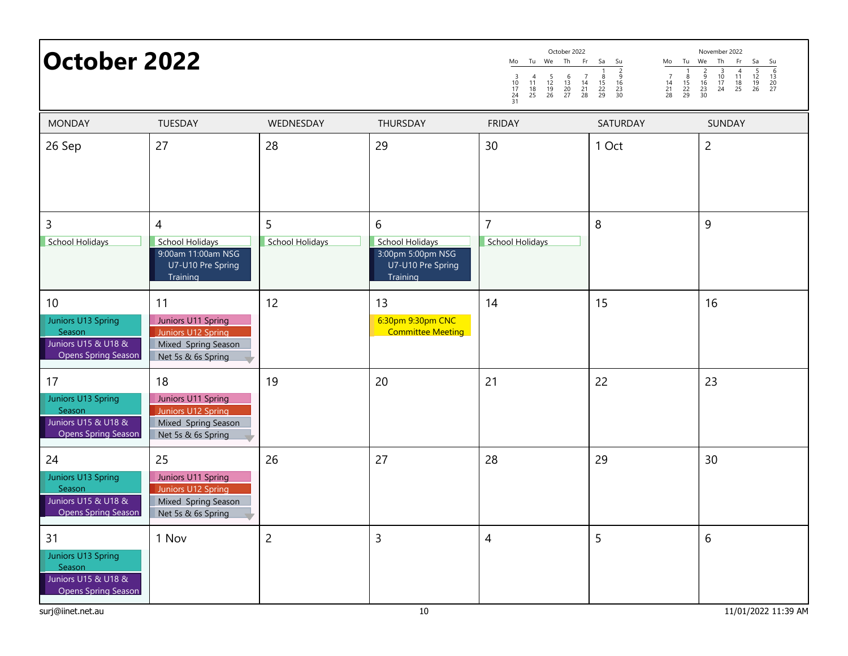| <b>October 2022</b>                                                                     |                                                                                             |                      |                                                                                       | October 2022<br>November 2022<br>Th<br>Tu We<br>Fr<br>Sa<br>Tu<br>We<br>Th<br>Fr<br>Sa<br>Mo<br>Su<br>Mo<br>Su<br>$\frac{6}{13}$<br>$\frac{13}{20}$<br>$\frac{20}{27}$<br>$\begin{array}{c}\n2 \\ 9 \\ 16\n\end{array}$<br>$\begin{array}{c} 4 \\ 11 \\ 18 \\ 25 \end{array}$<br>$\begin{array}{c} 3 \\ 10 \\ 17 \\ 24 \end{array}$<br>$\frac{5}{12}$<br>$\frac{12}{19}$<br>26<br>$\begin{array}{c} 7 \\ 14 \\ 21 \\ 28 \end{array}$<br>$\frac{5}{12}$<br>$\frac{19}{26}$<br>$\begin{array}{c} 6 \\ 13 \\ 20 \\ 27 \end{array}$<br>$\begin{array}{c} 7 \\ 14 \\ 21 \\ 28 \end{array}$<br>$\frac{8}{15}$<br>$\frac{22}{29}$<br>$\frac{8}{15}$<br>22<br>29<br>$\frac{9}{16}$<br>$\frac{23}{30}$<br>$\frac{3}{10}$<br>$\frac{17}{24}$<br>$\frac{24}{31}$<br>$\frac{4}{11}$<br>$\frac{18}{25}$<br>$\frac{23}{30}$ |                 |                |  |  |  |
|-----------------------------------------------------------------------------------------|---------------------------------------------------------------------------------------------|----------------------|---------------------------------------------------------------------------------------|---------------------------------------------------------------------------------------------------------------------------------------------------------------------------------------------------------------------------------------------------------------------------------------------------------------------------------------------------------------------------------------------------------------------------------------------------------------------------------------------------------------------------------------------------------------------------------------------------------------------------------------------------------------------------------------------------------------------------------------------------------------------------------------------------------------|-----------------|----------------|--|--|--|
| <b>MONDAY</b>                                                                           | TUESDAY                                                                                     | WEDNESDAY            | THURSDAY                                                                              | <b>FRIDAY</b>                                                                                                                                                                                                                                                                                                                                                                                                                                                                                                                                                                                                                                                                                                                                                                                                 | <b>SATURDAY</b> | <b>SUNDAY</b>  |  |  |  |
| 26 Sep                                                                                  | 27                                                                                          | 28                   | 29                                                                                    | 30                                                                                                                                                                                                                                                                                                                                                                                                                                                                                                                                                                                                                                                                                                                                                                                                            | 1 Oct           | $\overline{2}$ |  |  |  |
| 3<br><b>School Holidays</b>                                                             | 4<br><b>School Holidays</b><br>9:00am 11:00am NSG<br>U7-U10 Pre Spring<br>Training          | 5<br>School Holidays | $6\,$<br><b>School Holidays</b><br>3:00pm 5:00pm NSG<br>U7-U10 Pre Spring<br>Training | $\overline{7}$<br>School Holidays                                                                                                                                                                                                                                                                                                                                                                                                                                                                                                                                                                                                                                                                                                                                                                             | $\, 8$          | 9              |  |  |  |
| 10<br>Juniors U13 Spring<br>Season<br>Juniors U15 & U18 &<br><b>Opens Spring Season</b> | 11<br>Juniors U11 Spring<br>Juniors U12 Spring<br>Mixed Spring Season<br>Net 5s & 6s Spring | 12                   | 13<br>6:30pm 9:30pm CNC<br><b>Committee Meeting</b>                                   | 14                                                                                                                                                                                                                                                                                                                                                                                                                                                                                                                                                                                                                                                                                                                                                                                                            | 15              | 16             |  |  |  |
| 17<br>Juniors U13 Spring<br>Season<br>Juniors U15 & U18 &<br><b>Opens Spring Season</b> | 18<br>Juniors U11 Spring<br>Juniors U12 Spring<br>Mixed Spring Season<br>Net 5s & 6s Spring | 19                   | 20                                                                                    | 21                                                                                                                                                                                                                                                                                                                                                                                                                                                                                                                                                                                                                                                                                                                                                                                                            | 22              | 23             |  |  |  |
| 24<br>Juniors U13 Spring<br>Season<br>Juniors U15 & U18 &<br><b>Opens Spring Season</b> | 25<br>Juniors U11 Spring<br>Juniors U12 Spring<br>Mixed Spring Season<br>Net 5s & 6s Spring | 26                   | 27                                                                                    | 28                                                                                                                                                                                                                                                                                                                                                                                                                                                                                                                                                                                                                                                                                                                                                                                                            | 29              | 30             |  |  |  |
| 31<br>Juniors U13 Spring<br>Season<br>Juniors U15 & U18 &<br><b>Opens Spring Season</b> | 1 Nov                                                                                       | $\overline{c}$       | $\overline{3}$                                                                        | $\overline{4}$                                                                                                                                                                                                                                                                                                                                                                                                                                                                                                                                                                                                                                                                                                                                                                                                | 5               | 6              |  |  |  |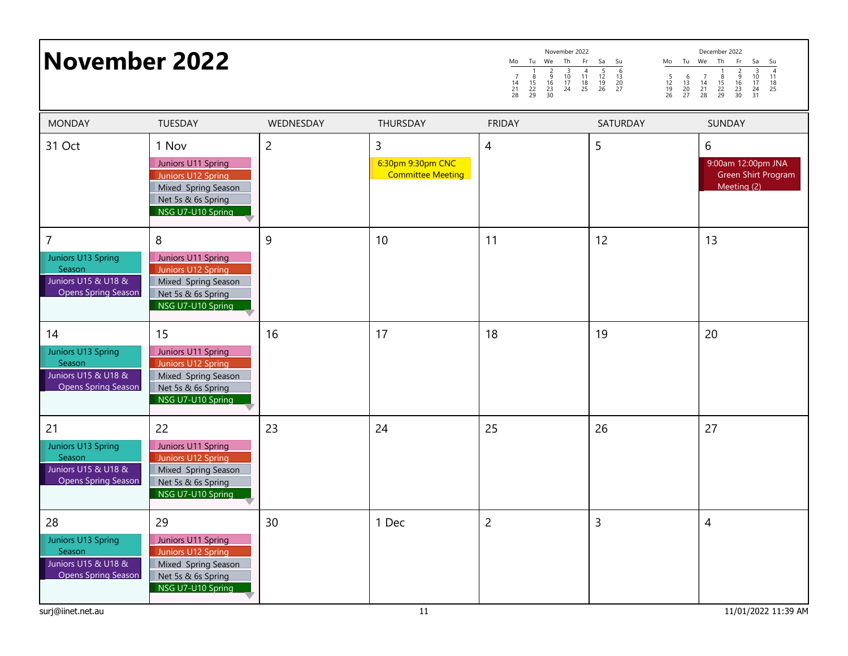## Mo Tu We Th Fr Sa Su<br>
1 2 3 4 5 6<br>
14 15 16 9 10 11 12 13<br>
21 22 23 24 25 26 27 1 2 3 4 5 6 7 8 9 10 11 12 13 14 15 16 17 18 19 20 21 22 23 24 25 26 27 7 8 9<br>14 15 16<br>21 22 23<br>28 29 30 November 2022 Mo Tu We The Fr Sa Su 7<br>
5 6 7 8 9 10 12<br>
12 13 14 15 16 17 18<br>
19 20 21 22 23 24 25<br>
19 20 21 22 30 31 1 2 3 4<br>
8 9 10 11<br>
15 16 17 18<br>
22 23 24 25<br>
29 30 31 5 6 7 8 9 10 11 12 13 14 15 16 17 18 19 20 21 22 23 24 25 26 27 28 29 30 31 November 2022 November 2022 November 2022 November 2022 December 2022 31 Oct | 1 Nov | 2 | 3 | 4 | 5 | 6 Juniors U11 Spring Juniors U12 Spring Mixed Spring Season Net 5s & 6s Spring NSG U7-U10 Spring 6:30pm 9:30pm CNC Committee Meeting 9:00am 12:00pm JNA Green Shirt Program Meeting (2) 7 | 8 | 9 | 10 | 11 | 12 | 13 Juniors U13 Spring Season Juniors U15 & U18 & Opens Spring Season Juniors U11 Spring Juniors U12 Spring Mixed Spring Season Net 5s & 6s Spring NSG U7-U10 Spring 14 15 16 17 18 19 20 Juniors U13 Spring Season Juniors U15 & U18 & Opens Spring Season Juniors U11 Spring Juniors U12 Spring Mixed Spring Season MONDAY TUESDAY WEDNESDAY THURSDAY FRIDAY SATURDAY SUNDAY

Juniors U13 Spring Season

Juniors U15 & U18 & Opens Spring Season

Juniors U13 Spring Season Juniors U15 & U18 & Opens Spring Season

Net 5s & 6s Spring NSG U7-U10 Spring

Juniors U11 Spring Juniors U12 Spring Mixed Spring Season Net 5s & 6s Spring NSG U7-U10 Spring

Juniors U11 Spring Juniors U12 Spring Mixed Spring Season Net 5s & 6s Spring NSG U7-U10 Spring

21 22 23 24 25 26 27

28 28 29 30 1 Dec 2 3 3 4